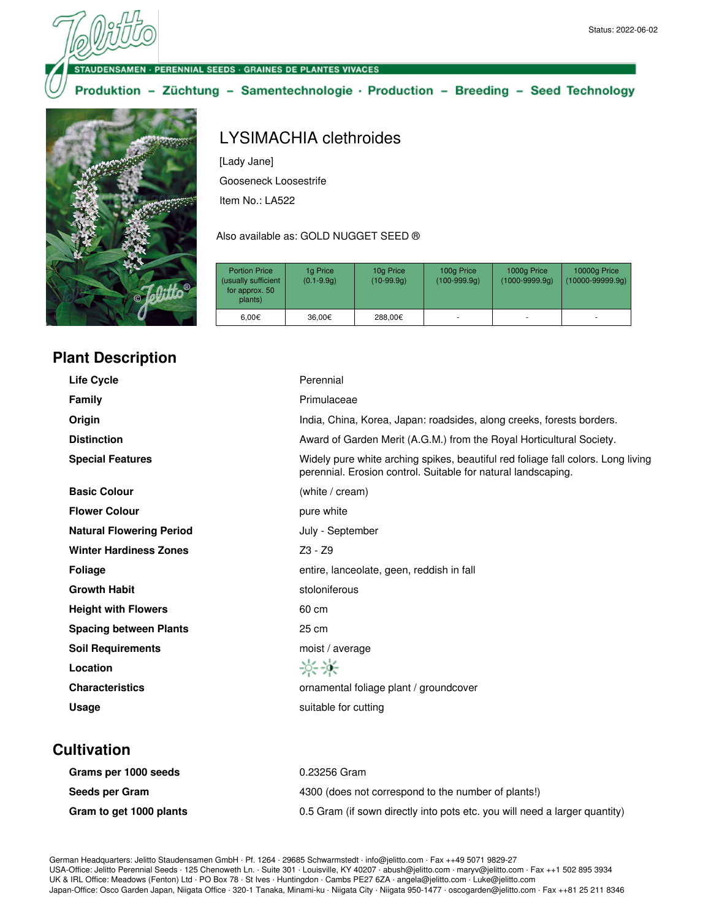#### **DENSAMEN · PERENNIAL SEEDS · GRAINES DE PLANTES VIVACES**

## Produktion - Züchtung - Samentechnologie · Production - Breeding - Seed Technology



# Gooseneck Loosestrife

Item No.: LA522

[Lady Jane]

#### Also available as: GOLD NUGGET SEED ®

LYSIMACHIA clethroides

| <b>Portion Price</b><br>(usually sufficient<br>for approx. 50<br>plants) | 1g Price<br>$(0.1 - 9.9q)$ | 10g Price<br>$(10-99.9q)$ | 100g Price<br>$(100-999.9q)$ | 1000g Price<br>$(1000 - 9999.9q)$ | 10000g Price<br>$(10000 - 99999.9q)$ |
|--------------------------------------------------------------------------|----------------------------|---------------------------|------------------------------|-----------------------------------|--------------------------------------|
| 6.00 $\in$                                                               | 36,00€                     | 288,00€                   |                              |                                   | ۰                                    |

# **Plant Description**

| <b>Life Cycle</b>               | Perennial                                                                                                                                         |
|---------------------------------|---------------------------------------------------------------------------------------------------------------------------------------------------|
| Family                          | Primulaceae                                                                                                                                       |
| Origin                          | India, China, Korea, Japan: roadsides, along creeks, forests borders.                                                                             |
| <b>Distinction</b>              | Award of Garden Merit (A.G.M.) from the Royal Horticultural Society.                                                                              |
| <b>Special Features</b>         | Widely pure white arching spikes, beautiful red foliage fall colors. Long living<br>perennial. Erosion control. Suitable for natural landscaping. |
| <b>Basic Colour</b>             | (white / cream)                                                                                                                                   |
| <b>Flower Colour</b>            | pure white                                                                                                                                        |
| <b>Natural Flowering Period</b> | July - September                                                                                                                                  |
| <b>Winter Hardiness Zones</b>   | $Z3 - Z9$                                                                                                                                         |
| <b>Foliage</b>                  | entire, lanceolate, geen, reddish in fall                                                                                                         |
| <b>Growth Habit</b>             | stoloniferous                                                                                                                                     |
| <b>Height with Flowers</b>      | 60 cm                                                                                                                                             |
| <b>Spacing between Plants</b>   | 25 cm                                                                                                                                             |
| <b>Soil Requirements</b>        | moist / average                                                                                                                                   |
| Location                        | 兴米                                                                                                                                                |
| <b>Characteristics</b>          | ornamental foliage plant / groundcover                                                                                                            |
| Usage                           | suitable for cutting                                                                                                                              |
|                                 |                                                                                                                                                   |

## **Cultivation**

| Grams per 1000 seeds    | 0.23256 Gram                                                               |
|-------------------------|----------------------------------------------------------------------------|
| Seeds per Gram          | 4300 (does not correspond to the number of plants!)                        |
| Gram to get 1000 plants | 0.5 Gram (if sown directly into pots etc. you will need a larger quantity) |